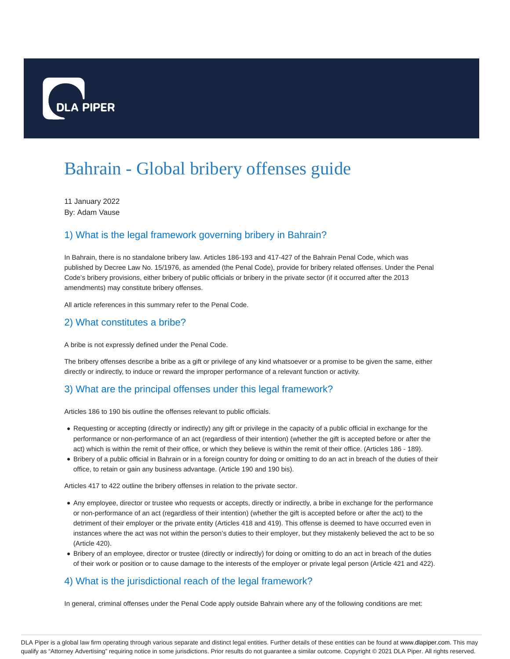

# Bahrain - Global bribery offenses guide

11 January 2022 By: Adam Vause

# 1) What is the legal framework governing bribery in Bahrain?

In Bahrain, there is no standalone bribery law. Articles 186-193 and 417-427 of the Bahrain Penal Code, which was published by Decree Law No. 15/1976, as amended (the Penal Code), provide for bribery related offenses. Under the Penal Code's bribery provisions, either bribery of public officials or bribery in the private sector (if it occurred after the 2013 amendments) may constitute bribery offenses.

All article references in this summary refer to the Penal Code.

# 2) What constitutes a bribe?

A bribe is not expressly defined under the Penal Code.

The bribery offenses describe a bribe as a gift or privilege of any kind whatsoever or a promise to be given the same, either directly or indirectly, to induce or reward the improper performance of a relevant function or activity.

# 3) What are the principal offenses under this legal framework?

Articles 186 to 190 bis outline the offenses relevant to public officials.

- Requesting or accepting (directly or indirectly) any gift or privilege in the capacity of a public official in exchange for the performance or non-performance of an act (regardless of their intention) (whether the gift is accepted before or after the act) which is within the remit of their office, or which they believe is within the remit of their office. (Articles 186 - 189).
- Bribery of a public official in Bahrain or in a foreign country for doing or omitting to do an act in breach of the duties of their office, to retain or gain any business advantage. (Article 190 and 190 bis).

Articles 417 to 422 outline the bribery offenses in relation to the private sector.

- Any employee, director or trustee who requests or accepts, directly or indirectly, a bribe in exchange for the performance or non-performance of an act (regardless of their intention) (whether the gift is accepted before or after the act) to the detriment of their employer or the private entity (Articles 418 and 419). This offense is deemed to have occurred even in instances where the act was not within the person's duties to their employer, but they mistakenly believed the act to be so (Article 420).
- Bribery of an employee, director or trustee (directly or indirectly) for doing or omitting to do an act in breach of the duties of their work or position or to cause damage to the interests of the employer or private legal person (Article 421 and 422).

# 4) What is the jurisdictional reach of the legal framework?

In general, criminal offenses under the Penal Code apply outside Bahrain where any of the following conditions are met: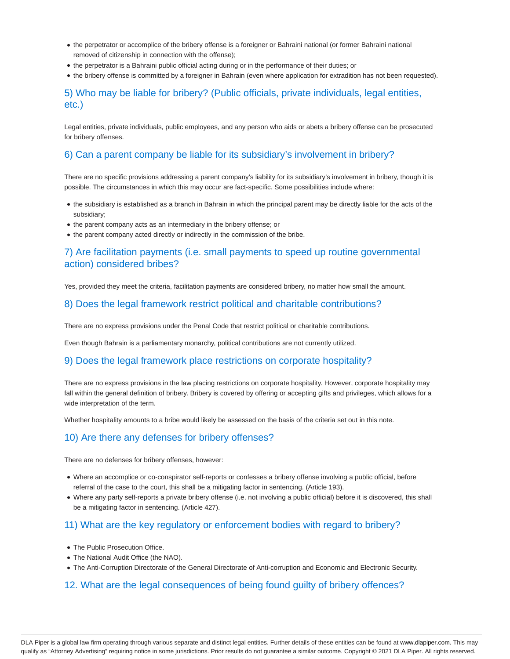- the perpetrator or accomplice of the bribery offense is a foreigner or Bahraini national (or former Bahraini national removed of citizenship in connection with the offense);
- the perpetrator is a Bahraini public official acting during or in the performance of their duties; or
- the bribery offense is committed by a foreigner in Bahrain (even where application for extradition has not been requested).

# 5) Who may be liable for bribery? (Public officials, private individuals, legal entities, etc.)

Legal entities, private individuals, public employees, and any person who aids or abets a bribery offense can be prosecuted for bribery offenses.

## 6) Can a parent company be liable for its subsidiary's involvement in bribery?

There are no specific provisions addressing a parent company's liability for its subsidiary's involvement in bribery, though it is possible. The circumstances in which this may occur are fact-specific. Some possibilities include where:

- the subsidiary is established as a branch in Bahrain in which the principal parent may be directly liable for the acts of the subsidiary;
- the parent company acts as an intermediary in the bribery offense; or
- the parent company acted directly or indirectly in the commission of the bribe.

## 7) Are facilitation payments (i.e. small payments to speed up routine governmental action) considered bribes?

Yes, provided they meet the criteria, facilitation payments are considered bribery, no matter how small the amount.

# 8) Does the legal framework restrict political and charitable contributions?

There are no express provisions under the Penal Code that restrict political or charitable contributions.

Even though Bahrain is a parliamentary monarchy, political contributions are not currently utilized.

#### 9) Does the legal framework place restrictions on corporate hospitality?

There are no express provisions in the law placing restrictions on corporate hospitality. However, corporate hospitality may fall within the general definition of bribery. Bribery is covered by offering or accepting gifts and privileges, which allows for a wide interpretation of the term.

Whether hospitality amounts to a bribe would likely be assessed on the basis of the criteria set out in this note.

#### 10) Are there any defenses for bribery offenses?

There are no defenses for bribery offenses, however:

- Where an accomplice or co-conspirator self-reports or confesses a bribery offense involving a public official, before referral of the case to the court, this shall be a mitigating factor in sentencing. (Article 193).
- Where any party self-reports a private bribery offense (i.e. not involving a public official) before it is discovered, this shall be a mitigating factor in sentencing. (Article 427).

#### 11) What are the key regulatory or enforcement bodies with regard to bribery?

- The Public Prosecution Office.
- The National Audit Office (the NAO).
- The Anti-Corruption Directorate of the General Directorate of Anti-corruption and Economic and Electronic Security.

# 12. What are the legal consequences of being found guilty of bribery offences?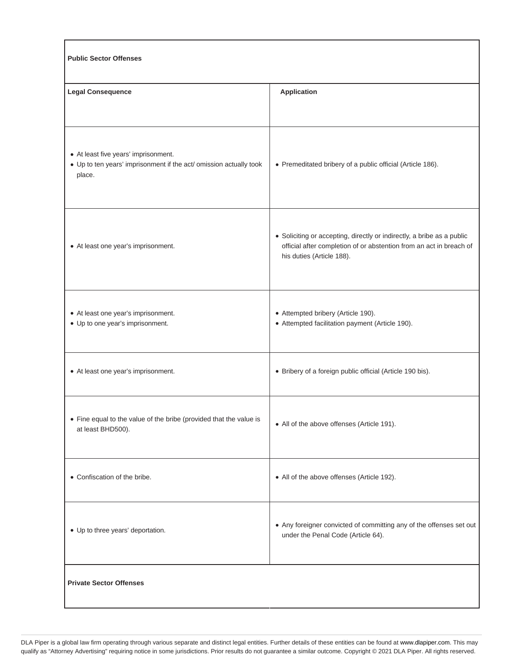| <b>Public Sector Offenses</b>                                                                                        |                                                                                                                                                                            |
|----------------------------------------------------------------------------------------------------------------------|----------------------------------------------------------------------------------------------------------------------------------------------------------------------------|
| <b>Legal Consequence</b>                                                                                             | <b>Application</b>                                                                                                                                                         |
|                                                                                                                      |                                                                                                                                                                            |
| • At least five years' imprisonment.<br>• Up to ten years' imprisonment if the act/ omission actually took<br>place. | • Premeditated bribery of a public official (Article 186).                                                                                                                 |
| • At least one year's imprisonment.                                                                                  | • Soliciting or accepting, directly or indirectly, a bribe as a public<br>official after completion of or abstention from an act in breach of<br>his duties (Article 188). |
| • At least one year's imprisonment.<br>• Up to one year's imprisonment.                                              | • Attempted bribery (Article 190).<br>• Attempted facilitation payment (Article 190).                                                                                      |
| • At least one year's imprisonment.                                                                                  | • Bribery of a foreign public official (Article 190 bis).                                                                                                                  |
| • Fine equal to the value of the bribe (provided that the value is<br>at least BHD500).                              | • All of the above offenses (Article 191).                                                                                                                                 |
| • Confiscation of the bribe.                                                                                         | • All of the above offenses (Article 192).                                                                                                                                 |
| • Up to three years' deportation.                                                                                    | • Any foreigner convicted of committing any of the offenses set out<br>under the Penal Code (Article 64).                                                                  |
| <b>Private Sector Offenses</b>                                                                                       |                                                                                                                                                                            |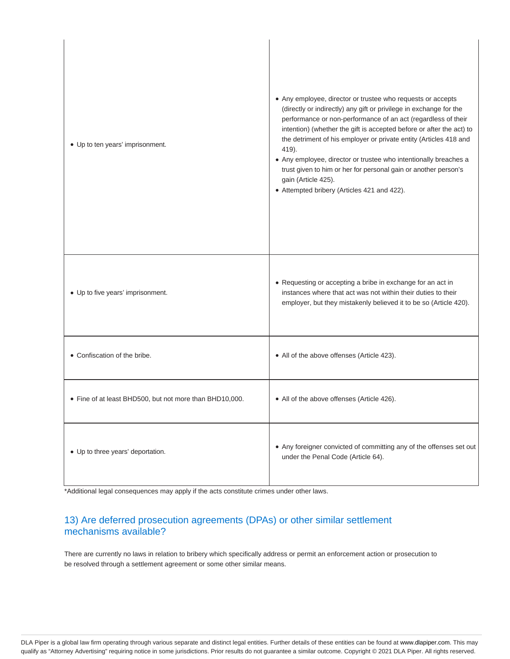| • Up to ten years' imprisonment.                        | • Any employee, director or trustee who requests or accepts<br>(directly or indirectly) any gift or privilege in exchange for the<br>performance or non-performance of an act (regardless of their<br>intention) (whether the gift is accepted before or after the act) to<br>the detriment of his employer or private entity (Articles 418 and<br>419).<br>• Any employee, director or trustee who intentionally breaches a<br>trust given to him or her for personal gain or another person's<br>gain (Article 425).<br>• Attempted bribery (Articles 421 and 422). |
|---------------------------------------------------------|-----------------------------------------------------------------------------------------------------------------------------------------------------------------------------------------------------------------------------------------------------------------------------------------------------------------------------------------------------------------------------------------------------------------------------------------------------------------------------------------------------------------------------------------------------------------------|
| • Up to five years' imprisonment.                       | • Requesting or accepting a bribe in exchange for an act in<br>instances where that act was not within their duties to their<br>employer, but they mistakenly believed it to be so (Article 420).                                                                                                                                                                                                                                                                                                                                                                     |
| • Confiscation of the bribe.                            | • All of the above offenses (Article 423).                                                                                                                                                                                                                                                                                                                                                                                                                                                                                                                            |
| • Fine of at least BHD500, but not more than BHD10,000. | • All of the above offenses (Article 426).                                                                                                                                                                                                                                                                                                                                                                                                                                                                                                                            |
| • Up to three years' deportation.                       | • Any foreigner convicted of committing any of the offenses set out<br>under the Penal Code (Article 64).                                                                                                                                                                                                                                                                                                                                                                                                                                                             |

\*Additional legal consequences may apply if the acts constitute crimes under other laws.

# 13) Are deferred prosecution agreements (DPAs) or other similar settlement mechanisms available?

There are currently no laws in relation to bribery which specifically address or permit an enforcement action or prosecution to be resolved through a settlement agreement or some other similar means.